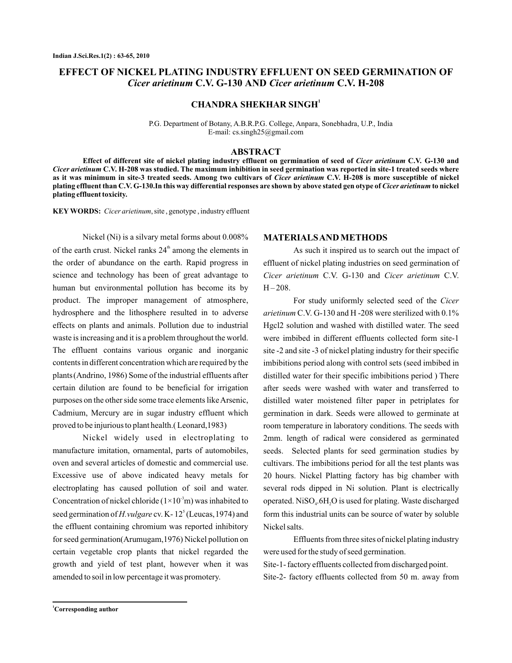# **EFFECT OF NICKEL PLATING INDUSTRY EFFLUENT ON SEED GERMINATION OF** *Cicer arietinum C.V. G-130 AND Cicer arietinum C.V. H-208*

**CHANDRA SHEKHAR SINGH<sup>1</sup>**

P.G. Department of Botany, A.B.R.P.G. College, Anpara, Sonebhadra, U.P., India E-mail: cs.singh25@gmail.com

#### **ABSTRACT**

Effect of different site of nickel plating industry effluent on germination of seed of *Cicer arietinum* C.V. G-130 and Cicer arietinum C.V. H-208 was studied. The maximum inhibition in seed germination was reported in site-1 treated seeds where as it was minimum in site-3 treated seeds. Among two cultivars of *Cicer arietinum* C.V. H-208 is more susceptible of nickel plating effluent than C.V. G-130.In this way differential responses are shown by above stated gen otype of *Cicer arietinum* to nickel **plating effluent toxicity.**

**KEY WORDS:** *Cicer arietinum*, site, genotype, industry effluent

Nickel (Ni) is a silvary metal forms about 0.008% of the earth crust. Nickel ranks  $24<sup>th</sup>$  among the elements in the order of abundance on the earth. Rapid progress in science and technology has been of great advantage to human but environmental pollution has become its by product. The improper management of atmosphere, hydrosphere and the lithosphere resulted in to adverse effects on plants and animals. Pollution due to industrial waste is increasing and it is a problem throughout the world. The effluent contains various organic and inorganic contents in different concentration which are required by the plants (Andrino, 1986) Some of the industrial effluents after certain dilution are found to be beneficial for irrigation purposes on the other side some trace elements like Arsenic, Cadmium, Mercury are in sugar industry effluent which proved to be injurious to plant health.( Leonard,1983)

Nickel widely used in electroplating to manufacture imitation, ornamental, parts of automobiles, oven and several articles of domestic and commercial use. Excessive use of above indicated heavy metals for electroplating has caused pollution of soil and water. Concentration of nickel chloride  $(1\times10^{-3}m)$  was inhabited to seed germination of *H. vulgare* cv. K-12<sup>5</sup> (Leucas, 1974) and the effluent containing chromium was reported inhibitory for seed germination(Arumugam,1976) Nickel pollution on certain vegetable crop plants that nickel regarded the growth and yield of test plant, however when it was amended to soil in low percentage it was promotery.

#### **MATERIALSAND METHODS**

As such it inspired us to search out the impact of effluent of nickel plating industries on seed germination of Cicer arietinum C.V. G-130 and Cicer arietinum C.V.  $H - 208$ .

For study uniformly selected seed of the *Cicer* arietinum C.V. G-130 and H -208 were sterilized with 0.1% Hgcl2 solution and washed with distilled water. The seed were imbibed in different effluents collected form site-1 site -2 and site -3 of nickel plating industry for their specific imbibitions period along with control sets (seed imbibed in distilled water for their specific imbibitions period ) There after seeds were washed with water and transferred to distilled water moistened filter paper in petriplates for germination in dark. Seeds were allowed to germinate at room temperature in laboratory conditions. The seeds with 2mm. length of radical were considered as germinated seeds. Selected plants for seed germination studies by cultivars. The imbibitions period for all the test plants was 20 hours. Nickel Platting factory has big chamber with several rods dipped in Ni solution. Plant is electrically operated.  $NiSO_4.6H_2O$  is used for plating. Waste discharged form this industrial units can be source of water by soluble Nickel salts.

Effluents from three sites of nickel plating industry were used for the study of seed germination. Site-1- factory effluents collected from discharged point. Site-2- factory effluents collected from 50 m. away from

**<sup>1</sup>Corresponding author**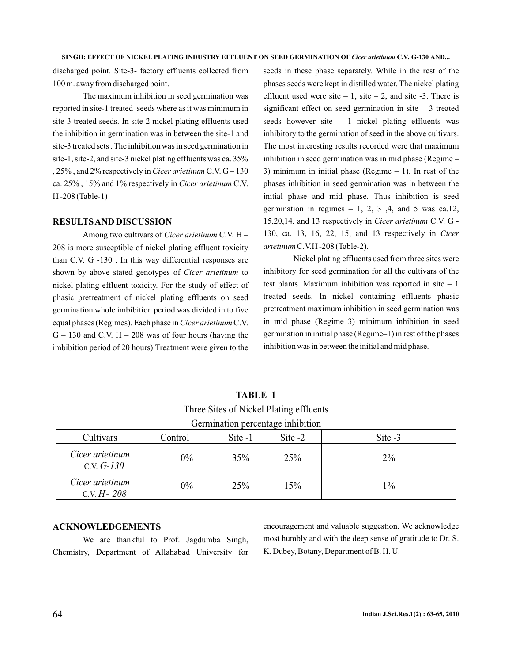discharged point. Site-3- factory effluents collected from 100 m. away from discharged point.

The maximum inhibition in seed germination was reported in site-1 treated seeds where as it was minimum in site-3 treated seeds. In site-2 nickel plating effluents used the inhibition in germination was in between the site-1 and site-3 treated sets . The inhibition was in seed germination in site-1, site-2, and site-3 nickel plating effluents was ca. 35% , 25%, and 2% respectively in *Cicer arietinum* C.V. G – 130 ca. 25% , 15% and 1% respectively in *Cicer arietinum* C.V. H -208 (Table-1)

#### **RESULTSAND DISCUSSION**

Among two cultivars of Cicer arietinum C.V. H -208 is more susceptible of nickel plating effluent toxicity than C.V. G -130. In this way differential responses are shown by above stated genotypes of Cicer arietinum to nickel plating effluent toxicity. For the study of effect of phasic pretreatment of nickel plating effluents on seed germination whole imbibition period was divided in to five equal phases (Regimes). Each phase in *Cicer arietinum* C.V.  $G - 130$  and C.V.  $H - 208$  was of four hours (having the imbibition period of 20 hours).Treatment were given to the

seeds in these phase separately. While in the rest of the phases seeds were kept in distilled water. The nickel plating effluent used were site  $-1$ , site  $-2$ , and site  $-3$ . There is significant effect on seed germination in site  $-3$  treated seeds however site  $-1$  nickel plating effluents was inhibitory to the germination of seed in the above cultivars. The most interesting results recorded were that maximum inhibition in seed germination was in mid phase (Regime – 3) minimum in initial phase (Regime  $-1$ ). In rest of the phases inhibition in seed germination was in between the initial phase and mid phase. Thus inhibition is seed germination in regimes  $-1$ , 2, 3, 4, and 5 was ca.12, 15,20,14, and 13 respectively in *Cicer arietinum* C.V. G -130, ca. 13, 16, 22, 15, and 13 respectively in *Cicer* arietinum C.V.H -208 (Table-2).

Nickel plating effluents used from three sites were inhibitory for seed germination for all the cultivars of the test plants. Maximum inhibition was reported in site  $-1$ treated seeds. In nickel containing effluents phasic pretreatment maximum inhibition in seed germination was in mid phase (Regime–3) minimum inhibition in seed germination in initial phase (Regime–1) in rest of the phases inhibition was in between the initial and mid phase.

| <b>TABLE 1</b>                          |         |         |         |         |  |  |  |  |
|-----------------------------------------|---------|---------|---------|---------|--|--|--|--|
| Three Sites of Nickel Plating effluents |         |         |         |         |  |  |  |  |
| Germination percentage inhibition       |         |         |         |         |  |  |  |  |
| Cultivars                               | Control | Site -1 | Site -2 | Site -3 |  |  |  |  |
| Cicer arietinum<br>C.V. $G-130$         | 0%      | 35%     | 25%     | $2\%$   |  |  |  |  |
| Cicer arietinum<br>C.V. $H - 208$       | $0\%$   | 25%     | 15%     | $1\%$   |  |  |  |  |

### **ACKNOWLEDGEMENTS**

We are thankful to Prof. Jagdumba Singh, Chemistry, Department of Allahabad University for encouragement and valuable suggestion. We acknowledge most humbly and with the deep sense of gratitude to Dr. S. K. Dubey, Botany, Department of B. H. U.